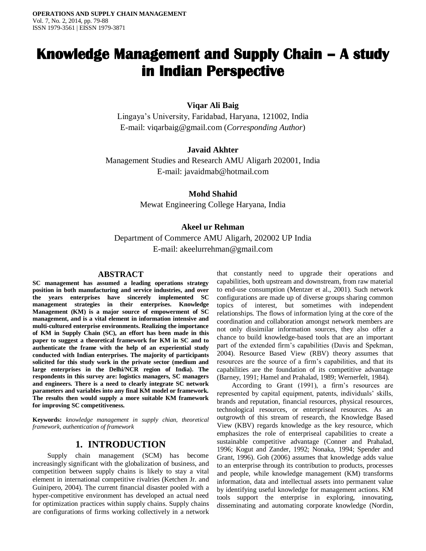# **Knowledge Management and Supply Chain – A study in Indian Perspective**

## **Viqar Ali Baig**

Lingaya's University, Faridabad, Haryana, 121002, India E-mail: [viqarbaig@gmail.com](mailto:viqarbaig@gmail.com) (*Corresponding Author*)

# **Javaid Akhter**

Management Studies and Research AMU Aligarh 202001, India E-mail: [javaidmab@hotmail.com](mailto:javaidmab@hotmail.co)

### **Mohd Shahid**

Mewat Engineering College Haryana, India

### **Akeel ur Rehman**

Department of Commerce AMU Aligarh, 202002 UP India E-mail: [akeelurrehman@gmail.com](mailto:akeelurrehman@gmail.com)

#### **ABSTRACT**

**SC management has assumed a leading operations strategy position in both manufacturing and service industries, and over the years enterprises have sincerely implemented SC management strategies in their enterprises. Knowledge Management (KM) is a major source of empowerment of SC management, and is a vital element in information intensive and multi-cultured enterprise environments. Realizing the importance of KM in Supply Chain (SC), an effort has been made in this paper to suggest a theoretical framework for KM in SC and to authenticate the frame with the help of an experiential study conducted with Indian enterprises. The majority of participants solicited for this study work in the private sector (medium and large enterprises in the Delhi/NCR region of India). The respondents in this survey are: logistics managers, SC managers and engineers. There is a need to clearly integrate SC network parameters and variables into any final KM model or framework. The results then would supply a more suitable KM framework for improving SC competitiveness.**

**Keywords:** *knowledge management in supply chian, theoretical framework, authentication of framework*

## **1. INTRODUCTION**

Supply chain management (SCM) has become increasingly significant with the globalization of business, and competition between supply chains is likely to stay a vital element in international competitive rivalries (Ketchen Jr. and Guinipero, 2004). The current financial disaster pooled with a hyper-competitive environment has developed an actual need for optimization practices within supply chains. Supply chains are configurations of firms working collectively in a network

that constantly need to upgrade their operations and capabilities, both upstream and downstream, from raw material to end-use consumption (Mentzer et al., 2001). Such network configurations are made up of diverse groups sharing common topics of interest, but sometimes with independent relationships. The flows of information lying at the core of the coordination and collaboration amongst network members are not only dissimilar information sources, they also offer a chance to build knowledge-based tools that are an important part of the extended firm's capabilities (Davis and Spekman, 2004). Resource Based View (RBV) theory assumes that resources are the source of a firm's capabilities, and that its capabilities are the foundation of its competitive advantage (Barney, 1991; Hamel and Prahalad, 1989; Wernerfelt, 1984).

According to Grant (1991), a firm's resources are represented by capital equipment, patents, individuals' skills, brands and reputation, financial resources, physical resources, technological resources, or enterpriseal resources. As an outgrowth of this stream of research, the Knowledge Based View (KBV) regards knowledge as the key resource, which emphasizes the role of enterpriseal capabilities to create a sustainable competitive advantage (Conner and Prahalad, 1996; Kogut and Zander, 1992; Nonaka, 1994; Spender and Grant, 1996). Goh (2006) assumes that knowledge adds value to an enterprise through its contribution to products, processes and people, while knowledge management (KM) transforms information, data and intellectual assets into permanent value by identifying useful knowledge for management actions. KM tools support the enterprise in exploring, innovating, disseminating and automating corporate knowledge (Nordin,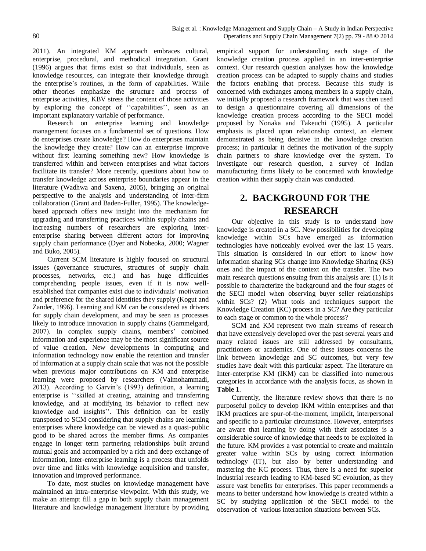2011). An integrated KM approach embraces cultural, enterprise, procedural, and methodical integration. Grant (1996) argues that firms exist so that individuals, seen as knowledge resources, can integrate their knowledge through the enterprise's routines, in the form of capabilities. While other theories emphasize the structure and process of enterprise activities, KBV stress the content of those activities by exploring the concept of ''capabilities'', seen as an important explanatory variable of performance.

Research on enterprise learning and knowledge management focuses on a fundamental set of questions. How do enterprises create knowledge? How do enterprises maintain the knowledge they create? How can an enterprise improve without first learning something new? How knowledge is transferred within and between enterprises and what factors facilitate its transfer? More recently, questions about how to transfer knowledge across enterprise boundaries appear in the literature (Wadhwa and Saxena, 2005), bringing an original perspective to the analysis and understanding of inter-firm collaboration (Grant and Baden-Fuller, 1995). The knowledgebased approach offers new insight into the mechanism for upgrading and transferring practices within supply chains and increasing numbers of researchers are exploring interenterprise sharing between different actors for improving supply chain performance (Dyer and Nobeoka, 2000; Wagner and Buko, 2005).

Current SCM literature is highly focused on structural issues (governance structures, structures of supply chain processes, networks, etc.) and has huge difficulties comprehending people issues, even if it is now wellestablished that companies exist due to individuals' motivation and preference for the shared identities they supply (Kogut and Zander, 1996). Learning and KM can be considered as drivers for supply chain development, and may be seen as processes likely to introduce innovation in supply chains (Gammelgard, 2007). In complex supply chains, members' combined information and experience may be the most significant source of value creation. New developments in computing and information technology now enable the retention and transfer of information at a supply chain scale that was not the possible when previous major contributions on KM and enterprise learning were proposed by researchers (Valmohammadi, 2013). According to Garvin's (1993) definition, a learning enterprise is ''skilled at creating, attaining and transferring knowledge, and at modifying its behavior to reflect new knowledge and insights''. This definition can be easily transposed to SCM considering that supply chains are learning enterprises where knowledge can be viewed as a quasi-public good to be shared across the member firms. As companies engage in longer term partnering relationships built around mutual goals and accompanied by a rich and deep exchange of information, inter-enterprise learning is a process that unfolds over time and links with knowledge acquisition and transfer, innovation and improved performance.

To date, most studies on knowledge management have maintained an intra-enterprise viewpoint. With this study, we make an attempt fill a gap in both supply chain management literature and knowledge management literature by providing empirical support for understanding each stage of the knowledge creation process applied in an inter-enterprise context. Our research question analyzes how the knowledge creation process can be adapted to supply chains and studies the factors enabling that process. Because this study is concerned with exchanges among members in a supply chain, we initially proposed a research framework that was then used to design a questionnaire covering all dimensions of the knowledge creation process according to the SECI model proposed by Nonaka and Takeuchi (1995). A particular emphasis is placed upon relationship context, an element demonstrated as being decisive in the knowledge creation process; in particular it defines the motivation of the supply chain partners to share knowledge over the system. To investigate our research question, a survey of Indian manufacturing firms likely to be concerned with knowledge creation within their supply chain was conducted.

# **2. BACKGROUND FOR THE RESEARCH**

Our objective in this study is to understand how knowledge is created in a SC. New possibilities for developing knowledge within SCs have emerged as information technologies have noticeably evolved over the last 15 years. This situation is considered in our effort to know how information sharing SCs change into Knowledge Sharing (KS) ones and the impact of the context on the transfer. The two main research questions ensuing from this analysis are: (1) Is it possible to characterize the background and the four stages of the SECI model when observing buyer–seller relationships within SCs? (2) What tools and techniques support the Knowledge Creation (KC) process in a SC? Are they particular to each stage or common to the whole process?

SCM and KM represent two main streams of research that have extensively developed over the past several years and many related issues are still addressed by consultants, practitioners or academics. One of these issues concerns the link between knowledge and SC outcomes, but very few studies have dealt with this particular aspect. The literature on Inter-enterprise KM (IKM) can be classified into numerous categories in accordance with the analysis focus, as shown in **Table 1**.

Currently, the literature review shows that there is no purposeful policy to develop IKM within enterprises and that IKM practices are spur-of-the-moment, implicit, interpersonal and specific to a particular circumstance. However, enterprises are aware that learning by doing with their associates is a considerable source of knowledge that needs to be exploited in the future. KM provides a vast potential to create and maintain greater value within SCs by using correct information technology (IT), but also by better understanding and mastering the KC process. Thus, there is a need for superior industrial research leading to KM-based SC evolution, as they assure vast benefits for enterprises. This paper recommends a means to better understand how knowledge is created within a SC by studying application of the SECI model to the observation of various interaction situations between SCs.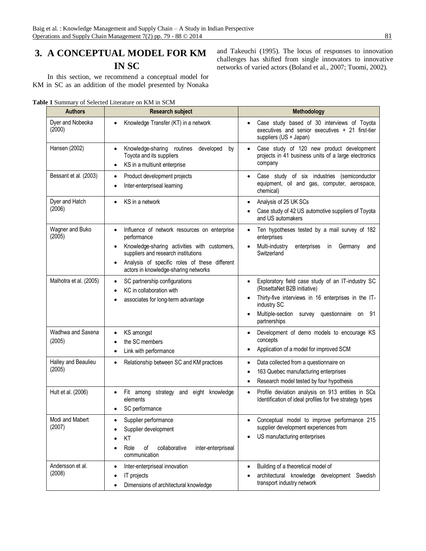# **3. A CONCEPTUAL MODEL FOR KM IN SC**

In this section, we recommend a conceptual model for KM in SC as an addition of the model presented by Nonaka

**Table 1** Summary of Selected Literature on KM in SCM

| <b>Authors</b>                | <b>Research subject</b>                                                                                                                                                                                                                                               | Methodology                                                                                                                                                                                                                                               |
|-------------------------------|-----------------------------------------------------------------------------------------------------------------------------------------------------------------------------------------------------------------------------------------------------------------------|-----------------------------------------------------------------------------------------------------------------------------------------------------------------------------------------------------------------------------------------------------------|
| Dyer and Nobeoka<br>(2000)    | Knowledge Transfer (KT) in a network                                                                                                                                                                                                                                  | Case study based of 30 interviews of Toyota<br>executives and senior executives + 21 first-tier<br>suppliers (US + Japan)                                                                                                                                 |
| Hansen (2002)                 | Knowledge-sharing<br>developed<br>routines<br>by<br>$\bullet$<br>Toyota and its suppliers<br>KS in a multiunit enterprise<br>$\bullet$                                                                                                                                | Case study of 120 new product development<br>$\bullet$<br>projects in 41 business units of a large electronics<br>company                                                                                                                                 |
| Bessant et al. (2003)         | Product development projects<br>$\bullet$<br>Inter-enterpriseal learning<br>$\bullet$                                                                                                                                                                                 | Case study of six industries (semiconductor<br>equipment, oil and gas, computer, aerospace,<br>chemical)                                                                                                                                                  |
| Dyer and Hatch<br>(2006)      | KS in a network<br>$\bullet$                                                                                                                                                                                                                                          | Analysis of 25 UK SCs<br>$\bullet$<br>Case study of 42 US automotive suppliers of Toyota<br>and US automakers                                                                                                                                             |
| Wagner and Buko<br>(2005)     | Influence of network resources on enterprise<br>$\bullet$<br>performance<br>Knowledge-sharing activities with customers,<br>$\bullet$<br>suppliers and research institutions<br>Analysis of specific roles of these different<br>actors in knowledge-sharing networks | Ten hypotheses tested by a mail survey of 182<br>enterprises<br>Multi-industry<br>enterprises<br>Germany<br>in.<br>and<br>Switzerland                                                                                                                     |
| Malhotra et al. (2005)        | SC partnership configurations<br>$\bullet$<br>KC in collaboration with<br>$\bullet$<br>associates for long-term advantage<br>٠                                                                                                                                        | Exploratory field case study of an IT-industry SC<br>$\bullet$<br>(RosettaNet B2B initiative)<br>Thirty-five interviews in 16 enterprises in the IT-<br>industry SC<br>Multiple-section<br>survey questionnaire<br>-91<br>on<br>$\bullet$<br>partnerships |
| Wadhwa and Saxena<br>(2005)   | KS amongst<br>٠<br>the SC members<br>Link with performance                                                                                                                                                                                                            | Development of demo models to encourage KS<br>$\bullet$<br>concepts<br>Application of a model for improved SCM                                                                                                                                            |
| Halley and Beaulieu<br>(2005) | Relationship between SC and KM practices<br>$\bullet$                                                                                                                                                                                                                 | Data collected from a questionnaire on<br>$\bullet$<br>163 Quebec manufacturing enterprises<br>٠<br>Research model tested by four hypothesis<br>٠                                                                                                         |
| Hult et al. (2006)            | Fit among strategy and eight knowledge<br>$\bullet$<br>elements<br>SC performance                                                                                                                                                                                     | Profile deviation analysis on 913 entities in SCs<br>$\bullet$<br>Identification of ideal profiles for five strategy types                                                                                                                                |
| Modi and Mabert<br>(2007)     | Supplier performance<br>٠<br>Supplier development<br>KT<br>Role<br>of<br>collaborative<br>inter-enterpriseal<br>communication                                                                                                                                         | Conceptual model to improve performance 215<br>supplier development experiences from<br>US manufacturing enterprises<br>٠                                                                                                                                 |
| Andersson et al.<br>(2008)    | Inter-enterpriseal innovation<br>$\bullet$<br>IT projects<br>٠<br>Dimensions of architectural knowledge<br>$\bullet$                                                                                                                                                  | Building of a theoretical model of<br>$\bullet$<br>architectural knowledge development Swedish<br>transport industry network                                                                                                                              |

and Takeuchi (1995). The locus of responses to innovation challenges has shifted from single innovators to innovative networks of varied actors (Boland et al., 2007; Tuomi, 2002).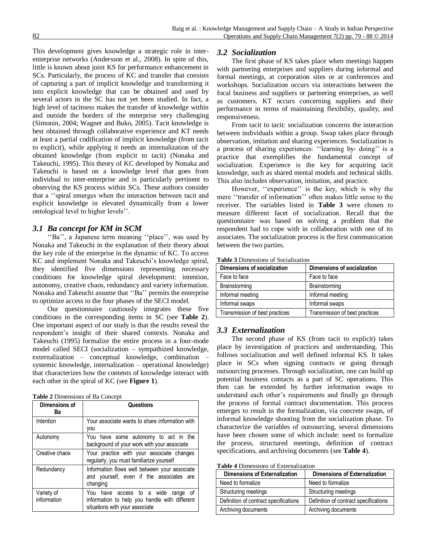This development gives knowledge a strategic role in interenterprise networks (Andersson et al., 2008). In spite of this, little is known about joint KS for performance enhancement in SCs. Particularly, the process of KC and transfer that consists of capturing a part of implicit knowledge and transforming it into explicit knowledge that can be obtained and used by several actors in the SC has not yet been studied. In fact, a high level of tacitness makes the transfer of knowledge within and outside the borders of the enterprise very challenging (Simonin, 2004; Wagner and Buko, 2005). Tacit knowledge is best obtained through collaborative experience and KT needs at least a partial codification of implicit knowledge (from tacit to explicit), while applying it needs an internalization of the obtained knowledge (from explicit to tacit) (Nonaka and Takeuchi, 1995). This theory of KC developed by Nonaka and Takeuchi is based on a knowledge level that goes from individual to inter-enterprise and is particularly pertinent to observing the KS process within SCs. These authors consider that a ''spiral emerges when the interaction between tacit and explicit knowledge in elevated dynamically from a lower ontological level to higher levels''.

#### *3.1 Ba concept for KM in SCM*

''Ba'', a Japanese term meaning ''place'', was used by Nonaka and Takeuchi in the explanation of their theory about the key role of the enterprise in the dynamic of KC. To access KC and implement Nonaka and Takeuchi's knowledge spiral, they identified five dimensions representing necessary conditions for knowledge spiral development: intention, autonomy, creative chaos, redundancy and variety information. Nonaka and Takeuchi assume that ''Ba'' permits the enterprise to optimize access to the four phases of the SECI model.

Our questionnaire cautiously integrates these five conditions in the corresponding items in SC (see **Table 2**). One important aspect of our study is that the results reveal the respondent's insight of their shared contexts. Nonaka and Takeuchi (1995) formalize the entire process in a four-mode model called SECI (socialization – sympathized knowledge, externalization – conceptual knowledge, combination – systemic knowledge, internalization – operational knowledge) that characterizes how the contents of knowledge interact with each other in the spiral of KC (see **Figure 1**).

| Table 2 Dimensions of Ba Concept |  |  |  |  |  |
|----------------------------------|--|--|--|--|--|
|----------------------------------|--|--|--|--|--|

| Dimensions of<br>Ba       | Questions                                                                                                                   |  |  |
|---------------------------|-----------------------------------------------------------------------------------------------------------------------------|--|--|
| Intention                 | Your associate wants to share information with<br>you                                                                       |  |  |
| Autonomy                  | You have some autonomy to act in the<br>background of your work with your associate                                         |  |  |
| Creative chaos            | Your practice with your associate changes<br>regularly, you must familiarize yourself                                       |  |  |
| Redundancy                | Information flows well between your associate<br>and yourself, even if the associates are<br>changing                       |  |  |
| Variety of<br>information | You have access to a wide<br>οf<br>range<br>information to help you handle with different<br>situations with your associate |  |  |

#### *3.2 Socialization*

The first phase of KS takes place when meetings happen with partnering enterprises and suppliers during informal and formal meetings, at corporation sites or at conferences and workshops. Socialization occurs via interactions between the focal business and suppliers or partnering enterprises, as well as customers. KT occurs concerning suppliers and their performance in terms of maintaining flexibility, quality, and responsiveness.

From tacit to tacit: socialization concerns the interaction between individuals within a group. Swap takes place through observation, imitation and sharing experiences. Socialization is a process of sharing experiences: ''learning by- doing'' is a practice that exemplifies the fundamental concept of socialization. Experience is the key for acquiring tacit knowledge, such as shared mental models and technical skills. This also includes observation, imitation, and practice.

However, "experience" is the key, which is why the mere ''transfer of information'' often makes little sense to the receiver. The variables listed in **Table 3** were chosen to measure different facet of socialization. Recall that the questionnaire was based on solving a problem that the respondent had to cope with in collaboration with one of its associates. The socialization process is the first communication between the two parties.

| <b>Table 3</b> Dimensions of Socialization |  |  |  |  |
|--------------------------------------------|--|--|--|--|
|                                            |  |  |  |  |

| Dimensions of socialization    | Dimensions of socialization    |  |
|--------------------------------|--------------------------------|--|
| Face to face                   | Face to face                   |  |
| Brainstorming                  | Brainstorming                  |  |
| Informal meeting               | Informal meeting               |  |
| Informal swaps                 | Informal swaps                 |  |
| Transmission of best practices | Transmission of best practices |  |

#### *3.3 Externalization*

The second phase of KS (from tacit to explicit) takes place by investigation of practices and understanding. This follows socialization and well defined informal KS. It takes place in SCs when signing contracts or going through outsourcing processes. Through socialization, one can build up potential business contacts as a part of SC operations. This then can be extended by further information swaps to understand each other's requirements and finally go through the process of formal contract documentation. This process emerges to result in the formalization, via concrete swaps, of informal knowledge shooting from the socialization phase. To characterize the variables of outsourcing, several dimensions have been chosen some of which include: need to formalize the process, structured meetings, definition of contract specifications, and archiving documents (see **Table 4**).

**Table 4** Dimensions of Externalization

| Dimensions of Externalization         | Dimensions of Externalization         |
|---------------------------------------|---------------------------------------|
| Need to formalize                     | Need to formalize                     |
| Structuring meetings                  | Structuring meetings                  |
| Definition of contract specifications | Definition of contract specifications |
| Archiving documents                   | Archiving documents                   |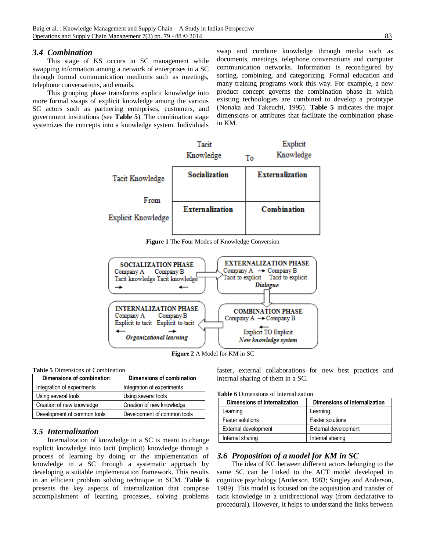#### *3.4 Combination*

This stage of KS occurs in SC management while swapping information among a network of enterprises in a SC through formal communication mediums such as meetings, telephone conversations, and emails.

This grouping phase transforms explicit knowledge into more formal swaps of explicit knowledge among the various SC actors such as partnering enterprises, customers, and government institutions (see **Table 5**). The combination stage systemizes the concepts into a knowledge system. Individuals

swap and combine knowledge through media such as documents, meetings, telephone conversations and computer communication networks. Information is reconfigured by sorting, combining, and categorizing. Formal education and many training programs work this way. For example, a new product concept governs the combination phase in which existing technologies are combined to develop a prototype (Nonaka and Takeuchi, 1995). **Table 5** indicates the major dimensions or attributes that facilitate the combination phase in KM.



**Figure 1** The Four Modes of Knowledge Conversion



**Figure 2** A Model for KM in SC

**Table 5** Dimensions of Combination

| Dimensions of combination   | Dimensions of combination   |
|-----------------------------|-----------------------------|
| Integration of experiments  | Integration of experiments  |
| Using several tools         | Using several tools         |
| Creation of new knowledge   | Creation of new knowledge   |
| Development of common tools | Development of common tools |

### *3.5 Internalization*

Internalization of knowledge in a SC is meant to change explicit knowledge into tacit (implicit) knowledge through a process of learning by doing or the implementation of knowledge in a SC through a systematic approach by developing a suitable implementation framework. This results in an efficient problem solving technique in SCM. **Table 6** presents the key aspects of internalization that comprise accomplishment of learning processes, solving problems

faster, external collaborations for new best practices and internal sharing of them in a SC.

|  | <b>Table 6</b> Dimensions of Internalization |  |  |  |
|--|----------------------------------------------|--|--|--|
|--|----------------------------------------------|--|--|--|

| Dimensions of Internalization | Dimensions of Internalization |
|-------------------------------|-------------------------------|
| Learning                      | Learning                      |
| <b>Faster solutions</b>       | <b>Faster solutions</b>       |
| External development          | External development          |
| Internal sharing              | Internal sharing              |

#### *3.6 Proposition of a model for KM in SC*

The idea of KC between different actors belonging to the same SC can be linked to the ACT model developed in cognitive psychology (Anderson, 1983; Singley and Anderson, 1989). This model is focused on the acquisition and transfer of tacit knowledge in a unidirectional way (from declarative to procedural). However, it helps to understand the links between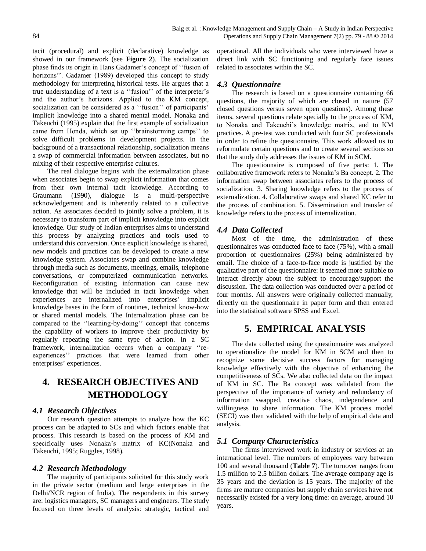tacit (procedural) and explicit (declarative) knowledge as showed in our framework (see **Figure 2**). The socialization phase finds its origin in Hans Gadamer's concept of ''fusion of horizons". Gadamer (1989) developed this concept to study methodology for interpreting historical tests. He argues that a true understanding of a text is a ''fusion'' of the interpreter's and the author's horizons. Applied to the KM concept, socialization can be considered as a ''fusion'' of participants' implicit knowledge into a shared mental model. Nonaka and Takeuchi (1995) explain that the first example of socialization came from Honda, which set up ''brainstorming camps'' to solve difficult problems in development projects. In the background of a transactional relationship, socialization means a swap of commercial information between associates, but no mixing of their respective enterprise cultures.

The real dialogue begins with the externalization phase when associates begin to swap explicit information that comes from their own internal tacit knowledge. According to Graumann (1990), dialogue is a multi-perspective acknowledgement and is inherently related to a collective action. As associates decided to jointly solve a problem, it is necessary to transform part of implicit knowledge into explicit knowledge. Our study of Indian enterprises aims to understand this process by analyzing practices and tools used to understand this conversion. Once explicit knowledge is shared, new models and practices can be developed to create a new knowledge system. Associates swap and combine knowledge through media such as documents, meetings, emails, telephone conversations, or computerized communication networks. Reconfiguration of existing information can cause new knowledge that will be included in tacit knowledge when experiences are internalized into enterprises' implicit knowledge bases in the form of routines, technical know-how or shared mental models. The Internalization phase can be compared to the ''learning-by-doing'' concept that concerns the capability of workers to improve their productivity by regularly repeating the same type of action. In a SC framework, internalization occurs when a company ''reexperiences'' practices that were learned from other enterprises' experiences.

# **4. RESEARCH OBJECTIVES AND METHODOLOGY**

#### *4.1 Research Objectives*

Our research question attempts to analyze how the KC process can be adapted to SCs and which factors enable that process. This research is based on the process of KM and specifically uses Nonaka's matrix of KC(Nonaka and Takeuchi, 1995; Ruggles, 1998).

### *4.2 Research Methodology*

The majority of participants solicited for this study work in the private sector (medium and large enterprises in the Delhi/NCR region of India). The respondents in this survey are: logistics managers, SC managers and engineers. The study focused on three levels of analysis: strategic, tactical and

operational. All the individuals who were interviewed have a direct link with SC functioning and regularly face issues related to associates within the SC.

# *4.3 Questionnaire*

The research is based on a questionnaire containing 66 questions, the majority of which are closed in nature (57 closed questions versus seven open questions). Among these items, several questions relate specially to the process of KM, to Nonaka and Takeuchi's knowledge matrix, and to KM practices. A pre-test was conducted with four SC professionals in order to refine the questionnaire. This work allowed us to reformulate certain questions and to create several sections so that the study duly addresses the issues of KM in SCM.

The questionnaire is composed of five parts: 1. The collaborative framework refers to Nonaka's Ba concept. 2. The information swap between associates refers to the process of socialization. 3. Sharing knowledge refers to the process of externalization. 4. Collaborative swaps and shared KC refer to the process of combination. 5. Dissemination and transfer of knowledge refers to the process of internalization.

### *4.4 Data Collected*

Most of the time, the administration of these questionnaires was conducted face to face (75%), with a small proportion of questionnaires (25%) being administered by email. The choice of a face-to-face mode is justified by the qualitative part of the questionnaire: it seemed more suitable to interact directly about the subject to encourage/support the discussion. The data collection was conducted over a period of four months. All answers were originally collected manually, directly on the questionnaire in paper form and then entered into the statistical software SPSS and Excel.

# **5. EMPIRICAL ANALYSIS**

The data collected using the questionnaire was analyzed to operationalize the model for KM in SCM and then to recognize some decisive success factors for managing knowledge effectively with the objective of enhancing the competitiveness of SCs. We also collected data on the impact of KM in SC. The Ba concept was validated from the perspective of the importance of variety and redundancy of information swapped, creative chaos, independence and willingness to share information. The KM process model (SECI) was then validated with the help of empirical data and analysis.

# *5.1 Company Characteristics*

The firms interviewed work in industry or services at an international level. The numbers of employees vary between 100 and several thousand (**Table 7**). The turnover ranges from 1.5 million to 2.5 billion dollars. The average company age is 35 years and the deviation is 15 years. The majority of the firms are mature companies but supply chain services have not necessarily existed for a very long time: on average, around 10 years.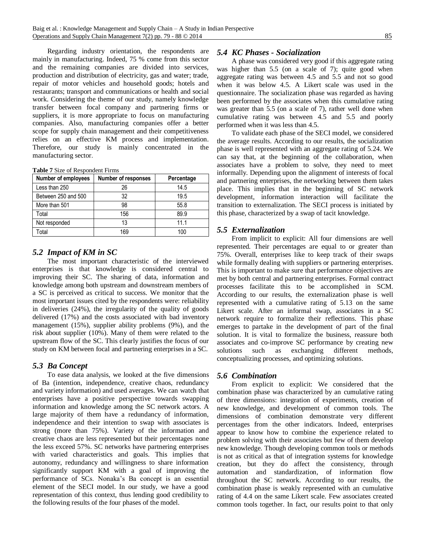Regarding industry orientation, the respondents are mainly in manufacturing. Indeed, 75 % come from this sector and the remaining companies are divided into services, production and distribution of electricity, gas and water; trade, repair of motor vehicles and household goods; hotels and restaurants; transport and communications or health and social work. Considering the theme of our study, namely knowledge transfer between focal company and partnering firms or suppliers, it is more appropriate to focus on manufacturing companies. Also, manufacturing companies offer a better scope for supply chain management and their competitiveness relies on an effective KM process and implementation. Therefore, our study is mainly concentrated in the manufacturing sector.

**Table 7** Size of Respondent Firms

| Number of employees | <b>Number of responses</b> | Percentage |
|---------------------|----------------------------|------------|
| Less than 250       | 26                         | 14.5       |
| Between 250 and 500 | 32                         | 19.5       |
| More than 501       | 98                         | 55.8       |
| Total               | 156                        | 89.9       |
| Not responded       | 13                         | 111        |
| Total               | 169                        | 100        |

### *5.2 Impact of KM in SC*

The most important characteristic of the interviewed enterprises is that knowledge is considered central to improving their SC. The sharing of data, information and knowledge among both upstream and downstream members of a SC is perceived as critical to success. We monitor that the most important issues cited by the respondents were: reliability in deliveries (24%), the irregularity of the quality of goods delivered (17%) and the costs associated with bad inventory management (15%), supplier ability problems (9%), and the risk about supplier (10%). Many of them were related to the upstream flow of the SC. This clearly justifies the focus of our study on KM between focal and partnering enterprises in a SC.

#### *5.3 Ba Concept*

To ease data analysis, we looked at the five dimensions of Ba (intention, independence, creative chaos, redundancy and variety information) and used averages. We can watch that enterprises have a positive perspective towards swapping information and knowledge among the SC network actors. A large majority of them have a redundancy of information, independence and their intention to swap with associates is strong (more than 75%). Variety of the information and creative chaos are less represented but their percentages none the less exceed 57%. SC networks have partnering enterprises with varied characteristics and goals. This implies that autonomy, redundancy and willingness to share information significantly support KM with a goal of improving the performance of SCs. Nonaka's Ba concept is an essential element of the SECI model. In our study, we have a good representation of this context, thus lending good credibility to the following results of the four phases of the model.

#### *5.4 KC Phases - Socialization*

A phase was considered very good if this aggregate rating was higher than 5.5 (on a scale of 7); quite good when aggregate rating was between 4.5 and 5.5 and not so good when it was below 4.5. A Likert scale was used in the questionnaire. The socialization phase was regarded as having been performed by the associates when this cumulative rating was greater than 5.5 (on a scale of 7), rather well done when cumulative rating was between 4.5 and 5.5 and poorly performed when it was less than 4.5.

To validate each phase of the SECI model, we considered the average results. According to our results, the socialization phase is well represented with an aggregate rating of 5.24. We can say that, at the beginning of the collaboration, when associates have a problem to solve, they need to meet informally. Depending upon the alignment of interests of focal and partnering enterprises, the networking between them takes place. This implies that in the beginning of SC network development, information interaction will facilitate the transition to externalization. The SECI process is initiated by this phase, characterized by a swap of tacit knowledge.

#### *5.5 Externalization*

From implicit to explicit: All four dimensions are well represented. Their percentages are equal to or greater than 75%. Overall, enterprises like to keep track of their swaps while formally dealing with suppliers or partnering enterprises. This is important to make sure that performance objectives are met by both central and partnering enterprises. Formal contract processes facilitate this to be accomplished in SCM. According to our results, the externalization phase is well represented with a cumulative rating of 5.13 on the same Likert scale. After an informal swap, associates in a SC network require to formalize their reflections. This phase emerges to partake in the development of part of the final solution. It is vital to formalize the business, reassure both associates and co-improve SC performance by creating new solutions such as exchanging different methods, conceptualizing processes, and optimizing solutions.

### *5.6 Combination*

From explicit to explicit: We considered that the combination phase was characterized by an cumulative rating of three dimensions: integration of experiments, creation of new knowledge, and development of common tools. The dimensions of combination demonstrate very different percentages from the other indicators. Indeed, enterprises appear to know how to combine the experience related to problem solving with their associates but few of them develop new knowledge. Though developing common tools or methods is not as critical as that of integration systems for knowledge creation, but they do affect the consistency, through automation and standardization, of information flow throughout the SC network. According to our results, the combination phase is weakly represented with an cumulative rating of 4.4 on the same Likert scale. Few associates created common tools together. In fact, our results point to that only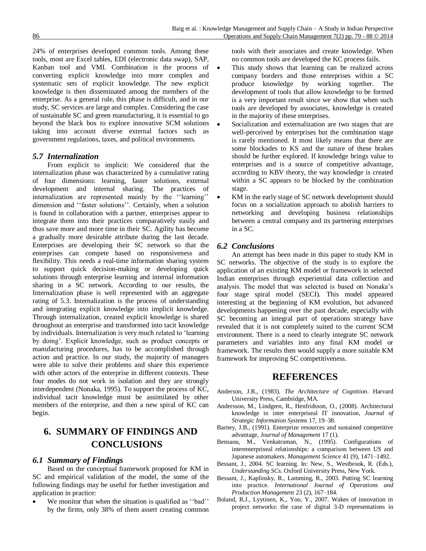24% of enterprises developed common tools. Among these tools, most are Excel tables, EDI (electronic data swap), SAP, Kanban tool and VMI. Combination is the process of converting explicit knowledge into more complex and systematic sets of explicit knowledge. The new explicit knowledge is then disseminated among the members of the enterprise. As a general rule, this phase is difficult, and in our study, SC services are large and complex. Considering the case of sustainable SC and green manufacturing, it is essential to go beyond the black box to explore innovative SCM solutions taking into account diverse external factors such as government regulations, taxes, and political environments.

#### *5.7 Internalization*

From explicit to implicit: We considered that the internalization phase was characterized by a cumulative rating of four dimensions: learning, faster solutions, external development and internal sharing. The practices of internalization are represented mainly by the ''learning'' dimension and ''faster solutions''. Certainly, when a solution is found in collaboration with a partner, enterprises appear to integrate them into their practices comparatively easily and thus save more and more time in their SC. Agility has become a gradually more desirable attribute during the last decade. Enterprises are developing their SC network so that the enterprises can compete based on responsiveness and flexibility. This needs a real-time information sharing system to support quick decision-making or developing quick solutions through enterprise learning and internal information sharing in a SC network. According to our results, the Internalization phase is well represented with an aggregate rating of 5.3. Internalization is the process of understanding and integrating explicit knowledge into implicit knowledge. Through internalization, created explicit knowledge is shared throughout an enterprise and transformed into tacit knowledge by individuals. Internalization is very much related to 'learning by doing'. Explicit knowledge, such as product concepts or manufacturing procedures, has to be accomplished through action and practice. In our study, the majority of managers were able to solve their problems and share this experience with other actors of the enterprise in different contexts. These four modes do not work in isolation and they are strongly interdependent (Nonaka, 1995). To support the process of KC, individual tacit knowledge must be assimilated by other members of the enterprise, and then a new spiral of KC can begin.

# **6. SUMMARY OF FINDINGS AND CONCLUSIONS**

#### *6.1 Summary of Findings*

Based on the conceptual framework proposed for KM in SC and empirical validation of the model, the some of the following findings may be useful for further investigation and application in practice:

We monitor that when the situation is qualified as "bad" by the firms, only 38% of them assert creating common

tools with their associates and create knowledge. When no common tools are developed the KC process fails.

- This study shows that learning can be realized across company borders and those enterprises within a SC produce knowledge by working together. The development of tools that allow knowledge to be formed is a very important result since we show that when such tools are developed by associates, knowledge is created in the majority of these enterprises.
- Socialization and externalization are two stages that are well-perceived by enterprises but the combination stage is rarely mentioned. It most likely means that there are some blockades to KS and the nature of these brakes should be further explored. If knowledge brings value to enterprises and is a source of competitive advantage, according to KBV theory, the way knowledge is created within a SC appears to be blocked by the combination stage.
- KM in the early stage of SC network development should focus on a socialization approach to abolish barriers to networking and developing business relationships between a central company and its partnering enterprises in a SC.

#### *6.2 Conclusions*

An attempt has been made in this paper to study KM in SC networks. The objective of the study is to explore the application of an existing KM model or framework in selected Indian enterprises through experiential data collection and analysis. The model that was selected is based on Nonaka's four stage spiral model (SECI). This model appeared interesting at the beginning of KM evolution, but advanced developments happening over the past decade, especially with SC becoming an integral part of operations strategy have revealed that it is not completely suited to the current SCM environment. There is a need to clearly integrate SC network parameters and variables into any final KM model or framework. The results then would supply a more suitable KM framework for improving SC competitiveness.

## **REFERENCES**

- Anderson, J.R., (1983). *The Architecture of Cognition*. Harvard University Press, Cambridge, MA.
- Andersson, M., Lindgren, R., Henfridsson, O., (2008). Architectural knowledge in inter enterpriseal IT innovation, *Journal of Strategic Information Systems* 17, 19–38.
- Barney, J.B., (1991). Enterprize resources and sustained competitive advantage, *Journal of Management* 17 (1).
- Bensaou, M., Venkatraman, N., (1995). Configurations of interenterpriseal relationships: a comparison between US and Japanese automakers. *Management Science* 41 (9), 1471–1492.
- Bessant, J., 2004. SC learning. In: New, S., Westbrook, R. (Eds.), *Understanding SCs*. Oxford University Press, New York.
- Bessant, J., Kaplinsky, R., Lamming, R., 2003. Putting SC learning into practice. *International Journal of Operations and Production Management* 23 (2), 167–184.
- Boland, R.J., Lyytinen, K., Yoo, Y., 2007. Wakes of innovation in project networks: the case of digital 3-D representations in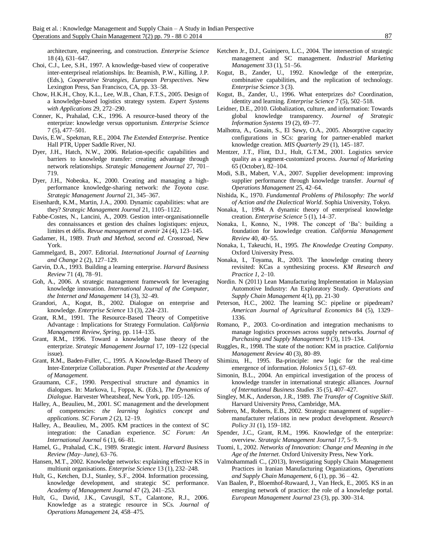architecture, engineering, and construction. *Enterprise Science* 18 (4), 631–647.

- Choi, C.J., Lee, S.H., 1997. A knowledge-based view of cooperative inter-enterpriseal relationships. In: Beamish, P.W., Killing, J.P. (Eds.), *Cooperative Strategies, European Perspectives*. New Lexington Press, San Francisco, CA, pp. 33–58.
- Chow, H.K.H., Choy, K.L., Lee, W.B., Chan, F.T.S., 2005. Design of a knowledge-based logistics strategy system. *Expert Systems with Applications* 29, 272–290.
- Conner, K., Prahalad, C.K., 1996. A resource-based theory of the enterprize: knowledge versus opportunism. *Enterprise Science* 7 (5), 477–501.
- Davis, E.W., Spekman, R.E., 2004. *The Extended Enterprise*. Prentice Hall PTR, Upper Saddle River, NJ.
- Dyer, J.H., Hatch, N.W., 2006. Relation-specific capabilities and barriers to knowledge transfer: creating advantage through network relationships. *Strategic Management Journal* 27, 701– 719.
- Dyer, J.H., Nobeoka, K., 2000. Creating and managing a highperformance knowledge-sharing network: *the Toyota case. Strategic Management Journal* 21, 345–367.
- Eisenhardt, K.M., Martin, J.A., 2000. Dynamic capabilities: what are they? *Strategic Management Journal* 21, 1105–1122.
- Fabbe-Costes, N., Lancini, A., 2009. Gestion inter-organisationnelle des connaissances et gestion des chaînes logistiques: enjeux, limites et défis. *Revue management et avenir* 24 (4), 123–145.
- Gadamer, H., 1989. *Truth and Method, second ed*. Crossroad, New York.
- Gammelgard, B., 2007. Editorial. *International Journal of Learning and Change* 2 (2), 127–129.
- Garvin, D.A., 1993. Building a learning enterprise. *Harvard Business Review* 71 (4), 78–91.
- Goh, A., 2006. A strategic management framework for leveraging knowledge innovation. *International Journal of the Computer, the Internet and Management* 14 (3), 32–49.
- Grandori, A., Kogut, B., 2002. Dialogue on enterprise and knowledge. *Enterprise Science* 13 (3), 224–231.
- Grant, R.M., 1991. The Resource-Based Theory of Competitive Advantage : Implications for Strategy Formulation. *California Management Review, Spring,* pp. 114–135.
- Grant, R.M., 1996. Toward a knowledge base theory of the enterprize. *Strategic Management Journal* 17, 109–122 (special issue).
- Grant, R.M., Baden-Fuller, C., 1995. A Knowledge-Based Theory of Inter-Enterprize Collaboration. *Paper Presented at the Academy of Management.*
- Graumann, C.F., 1990. Perspectival structure and dynamics in dialogues. In: Markova, I., Foppa, K. (Eds.), *The Dynamics of Dialogue*. Harvester Wheatsheaf, New York, pp. 105–126.
- Halley, A., Beaulieu, M., 2001. SC management and the development of competencies: *the learning logistics concept and applications. SC Forum 2* (2), 12–19.
- Halley, A., Beaulieu, M., 2005. KM practices in the context of SC integration: the Canadian experience. *SC Forum: An International Journal* 6 (1), 66–81.
- Hamel, G., Prahalad, C.K., 1989. Strategic intent. *Harvard Business Review (May–June)*, 63–76.
- Hansen, M.T., 2002. Knowledge networks: explaining effective KS in multiunit organisations. *Enterprise Science* 13 (1), 232–248.
- Hult, G., Ketchen, D.J., Stanley, S.F., 2004. Information processing, knowledge development, and strategic SC performance. *Academy of Management Journal* 47 (2), 241–253.
- Hult, G., David, J.K., Cavusgil, S.T., Calantone, R.J., 2006. Knowledge as a strategic resource in SCs. *Journal of Operations Management* 24, 458–475.
- Ketchen Jr., D.J., Guinipero, L.C., 2004. The intersection of strategic management and SC management. *Industrial Marketing Management* 33 (1), 51–56.
- Kogut, B., Zander, U., 1992. Knowledge of the enterprize, combinative capabilities, and the replication of technology. *Enterprise Science* 3 (3).
- Kogut, B., Zander, U., 1996. What enterprizes do? Coordination, identity and learning. *Enterprise Science* 7 (5), 502–518.
- Leidner, D.E., 2010. Globalization, culture, and information: Towards global knowledge transparency. *Journal of Strategic Information Systems* 19 (2), 69–77.
- Malhotra, A., Gosain, S., El Sawy, O.A., 2005. Absorptive capacity configurations in SCs: gearing for partner-enabled market knowledge creation. *MIS Quarterly* 29 (1), 145–187.
- Mentzer, J.T., Flint, D.J., Hult, G.T.M., 2001. Logistics service quality as a segment-customized process. *Journal of Marketing* 65 (October), 82–104.
- Modi, S.B., Mabert, V.A., 2007. Supplier development: improving supplier performance through knowledge transfer. *Journal of Operations Management* 25, 42–64.
- Nishida, K., 1970. *Fundamental Problems of Philosophy: The world of Action and the Dialectical World*. Sophia University, Tokyo.
- Nonaka, I., 1994. A dynamic theory of enterpriseal knowledge creation. *Enterprise Science* 5 (1), 14–37.
- Nonaka, I., Konno, N., 1998. The concept of 'Ba': building a foundation for knowledge creation. *California Management Review* 40, 40–55.
- Nonaka, I., Takeuchi, H., 1995. *The Knowledge Creating Company*. Oxford University Press.
- Nonaka, I., Toyama, R., 2003. The knowledge creating theory revisited: KCas a synthesizing process. *KM Research and Practice 1*, 2–10.
- Nordin. N (2011) Lean Manufacturing Implementation in Malaysian Automotive Industry: An Exploratory Study. *Operations and Supply Chain Management* 4(1), pp*.* 21-30
- Peterson, H.C., 2002. The learning SC: pipeline or pipedream? *American Journal of Agricultural Economics* 84 (5), 1329– 1336.
- Romano, P., 2003. Co-ordination and integration mechanisms to manage logistics processes across supply networks. *Journal of Purchasing and Supply Management* 9 (3), 119–134.
- Ruggles, R., 1998. The state of the notion: KM in practice. *California Management Review* 40 (3), 80–89.
- Shimizu, H., 1995. Ba-principle: new logic for the real-time emergence of information. *Holonics 5* (1), 67–69.
- Simonin, B.L., 2004. An empirical investigation of the process of knowledge transfer in international strategic alliances. *Journal of International Business Studies* 35 (5), 407–427.
- Singley, M.K., Anderson, J.R., 1989. *The Transfer of Cognitive Skill*. Harvard University Press, Cambridge, MA.
- Sobrero, M., Roberts, E.B., 2002. Strategic management of supplier– manufacturer relations in new product development. *Research Policy 31* (1), 159–182.
- Spender, J.C., Grant, R.M., 1996. Knowledge of the enterprize: overview. *Strategic Management Journal 17*, 5–9.
- Tuomi, I., 2002. *Networks of Innovation: Change and Meaning in the Age of the Internet*. Oxford University Press, New York.
- Valmohammadi C., (2013), Investigating Supply Chain Management Practices in Iranian Manufacturing Organizations, *Operations and Supply Chain Management*, 6 (1), pp. 36 – 42.
- Van Baalen, P., Bloemhof-Ruwaard, J., Van Heck, E., 2005. KS in an emerging network of practice: the role of a knowledge portal. *European Management Journal* 23 (3), pp. 300–314.